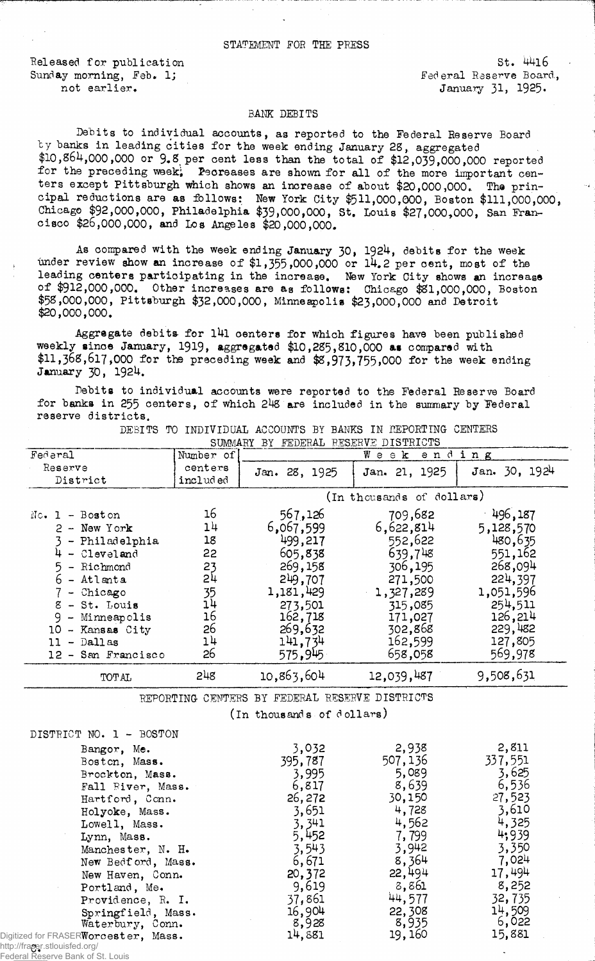Released for publication St. 4416<br>
Sunday morning, Feb. 1; Sunday Federal Reserve Board, Sunday morning, Feb. 1; not earlier.<br>
January 31, 1925.

## BANK DEBITS

Debits to individual accounts, as reported to the Federal Reserve Board by banks in leading cities for the week ending January 28, aggregated \$10,861+,000,000 or 9.8 per cent less than the total of \$12,039,000,000 reported for the preceding week;  $P$ ecreases are shown for all of the more important centers except Pittsburgh which shows an increase of about \$20,000,000. The principal reductions are as follows: New York City \$511,000,000, Boston \$111,000,000, Chicago \$92,000,000, Philadelphia \$39)000,000, St, Louis \$27,000,000, San Francisco \$26,000,000, and Los Angeles \$20,000,000.

As compared with the week ending January 30, 1924, debits for the week under review show an increase of  $$1,355,000,000$  or  $14.2$  per cent, most of the leading centers participating in the inorease. New York City shows an increase of \$912,000,000. Other increases are as follows: Chicago \$81,000,000, Boston \$58,000,000, Pittsburgh \$32,000,000, Minneapolis \$23,000,000 and Detroit \$20,000,000.

Aggregate debits for 141 centers for which figures have been published weekly since January, 1919, aggregated \$10,285,810,000 as compared with  $$11,368,617,000$  for the preceding week and  $$3,973,755,000$  for the week ending January 30, 1924.

Debits to individual accounts were reported to the Federal Reserve Board for banks in 255 centers, of which 248 are included in the summary by Federal reserve districts.

| Federal                                        | Number of                 | ending<br>$W$ e e $\mathbf k$ |                |                 |  |  |
|------------------------------------------------|---------------------------|-------------------------------|----------------|-----------------|--|--|
| Reserve                                        | centers                   | Jan. 28, 1925                 | Jan. 21, 1925  | Jan. 30, 1924   |  |  |
| District                                       | included                  |                               |                |                 |  |  |
|                                                | (In thousands of dollars) |                               |                |                 |  |  |
| $Nc$ . 1 - Boston                              | 16                        | 567,126                       | 709,682        | $-496,187$      |  |  |
| $2 -$ New York                                 | 14                        | 6,067,599                     | 6,622,814      | 5,128,570       |  |  |
| - Philadelphia                                 | 18                        | 499,217                       | 552,622        | 480,635         |  |  |
| $4 - 01$ eveland                               | 22                        | 605,838                       | 639,748        | 551,162         |  |  |
| 5<br>- Richmond                                | 23                        | 269,158                       | 306,195        | 268,094         |  |  |
| $6$ - Atlanta                                  | 2 <sup>1</sup>            | 249,707                       | 271,500        | 224,397         |  |  |
| - Chicago                                      | 35                        | 1,181,429                     | 1,327,289      | 1,051,596       |  |  |
| $8 - St.$ Louis                                | 14                        | 273,501                       | 315,085        | 254,511         |  |  |
| 9 - Minneapolis                                | 16                        | 162,718                       | 171,027        | 126,214         |  |  |
| 10 - Kansas City                               | 26                        | 269,632                       | 302,868        | 229,482         |  |  |
| $11 -$ Dallas                                  | 14                        | 141,734                       | 162,599        | 127,805         |  |  |
| 12 - San Francisco                             | 26                        | 575,945                       | 658,058        | 569,978         |  |  |
| <b>TOTAL</b>                                   | 248                       | 10,863,604                    | 12,039,487     | 9,508,631       |  |  |
| REPORTING CENTERS BY FEDERAL RESERVE DISTRICTS |                           |                               |                |                 |  |  |
| (In thousands of dollars)                      |                           |                               |                |                 |  |  |
| DISTRICT NO. 1 - BOSTON                        |                           |                               |                |                 |  |  |
| Bangor, Me.                                    |                           | 3,032                         | 2,938          | 2,811           |  |  |
| Boston, Mass.                                  |                           | 395,787                       | 507,136        | 337,551         |  |  |
| Brockton, Mass.                                |                           | 3,995                         | 5,089          | 3,625           |  |  |
| Fall Fiver, Mass.                              |                           | 6,817                         | 8,639          | 6,536           |  |  |
| Hartford, Conn.                                |                           | 26,272                        | 30,150         | 27,523          |  |  |
| Holyoke, Mass.                                 |                           | 3,651                         | 4,728          | 3,610           |  |  |
| Lowell, Mass.                                  |                           | 3,341                         | 4,562          | 4,325           |  |  |
| Lynn, Mass.                                    |                           | 5,452                         | 7,799          | 4,939           |  |  |
| Manchester, N. H.                              |                           | 3,543                         | 3,942          | 3,350           |  |  |
| New Bedford, Mass.                             |                           | 6,671                         | 8,364          | 7,024           |  |  |
| New Haven, Conn.                               |                           | 20,372                        | 22,494         | 17,494          |  |  |
| Portland, Me.                                  |                           | 9,619                         | 8,861          | 8,252           |  |  |
| Providence, R. I.                              |                           | 37,861                        | 44,577         | 32,735          |  |  |
| Springfield, Mass.                             |                           | 16,904                        | 22,308         | 14,509          |  |  |
| Waterbury, Conn.                               |                           | 8,928<br>$\blacksquare$       | 8,935<br>50.50 | 6,022<br>1.5.77 |  |  |

DEBITS TO INDIVIDUAL ACCOUNTS BY BANKS IN REPORTING CENTERS SUMMARY BY FEDERAL RESERVE DISTRICTS

Waterbury, Conn. 8,928 8,935 6,022<br>Worcester, Mass. 14,881 19,160 15,881 Digitized for FRASER**Worcester, Mass.**  $14,881$  19,160 15,881 http://fraser.stlouisfed.org/

Federal Reserve Bank of St. Louis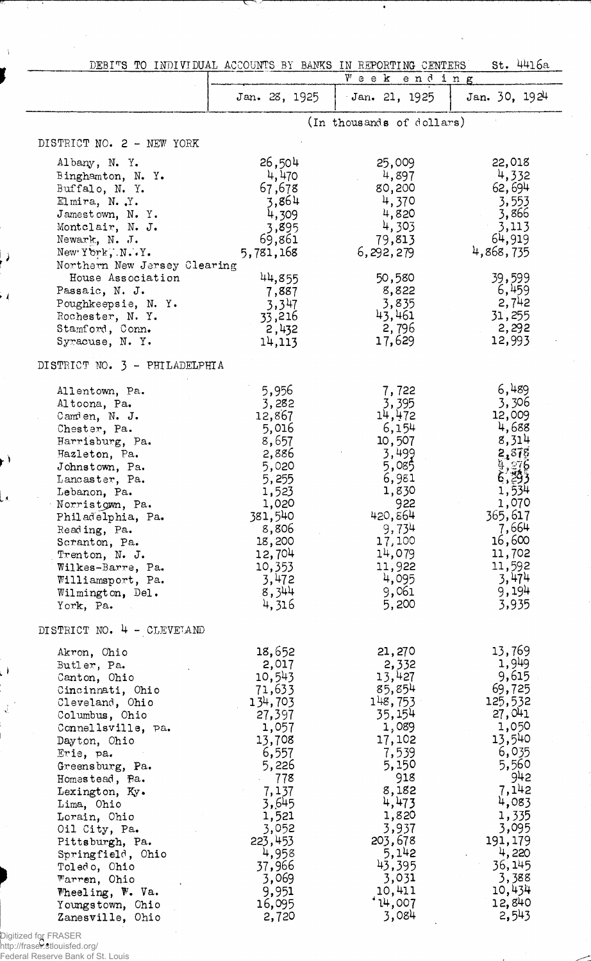|                                                                                                                                                                                                                                                                                                                                                                                                                                |                                                                                                                                                                                                             | DEBITS TO INDIVIDUAL ACCOUNTS BY BANKS IN REPORTING CENTERS<br>$W$ e e $K$                                                                                                                                    | St. 4416a                                                                                                                                                                                                    |
|--------------------------------------------------------------------------------------------------------------------------------------------------------------------------------------------------------------------------------------------------------------------------------------------------------------------------------------------------------------------------------------------------------------------------------|-------------------------------------------------------------------------------------------------------------------------------------------------------------------------------------------------------------|---------------------------------------------------------------------------------------------------------------------------------------------------------------------------------------------------------------|--------------------------------------------------------------------------------------------------------------------------------------------------------------------------------------------------------------|
|                                                                                                                                                                                                                                                                                                                                                                                                                                | Jan. 28, 1925                                                                                                                                                                                               | ending<br>Jan. 21, 1925                                                                                                                                                                                       | Jan. 30, 1924                                                                                                                                                                                                |
|                                                                                                                                                                                                                                                                                                                                                                                                                                |                                                                                                                                                                                                             | (In thousands of dollars)                                                                                                                                                                                     |                                                                                                                                                                                                              |
|                                                                                                                                                                                                                                                                                                                                                                                                                                |                                                                                                                                                                                                             |                                                                                                                                                                                                               |                                                                                                                                                                                                              |
| DISTRICT NO. 2 - NEW YORK                                                                                                                                                                                                                                                                                                                                                                                                      |                                                                                                                                                                                                             |                                                                                                                                                                                                               |                                                                                                                                                                                                              |
| Albany, N. Y.<br>Binghamton, N.Y.<br>Buffalo, N. Y.<br>Elmira, N.Y.<br>Jamestown, N.Y.                                                                                                                                                                                                                                                                                                                                         | 26,504<br>4,470<br>67,678<br>3,864<br>4,309                                                                                                                                                                 | 25,009<br>4,897<br>80,200<br>4,370<br>4,820                                                                                                                                                                   | 22,018<br>4,332<br>62,694<br>3,553<br>3,866                                                                                                                                                                  |
| Montclair, N. J.<br>Newark, N. J.<br>New York, N. Y.<br>Northern New Jersey Clearing                                                                                                                                                                                                                                                                                                                                           | 3,895<br>69,861<br>5,781,168                                                                                                                                                                                | 4,303<br>79,813<br>6,292,279                                                                                                                                                                                  | 3,113<br>64,919<br>4,868,735                                                                                                                                                                                 |
| House Association<br>Passaic, N. J.<br>Poughkeepsie, N. Y.<br>Rochester, N. Y.<br>Stamford, Conn.<br>Syracuse, N. Y.                                                                                                                                                                                                                                                                                                           | 44,855<br>7,887<br>3,347<br>33,216<br>2,432<br>14,113                                                                                                                                                       | 50,580<br>8,822<br>3,835<br>43,461<br>2,796<br>17,629                                                                                                                                                         | 39,599<br>6,459<br>2,742<br>31,255<br>2,292<br>12,993                                                                                                                                                        |
| DISTRICT NO. 3 - PHILADELPHIA                                                                                                                                                                                                                                                                                                                                                                                                  |                                                                                                                                                                                                             |                                                                                                                                                                                                               |                                                                                                                                                                                                              |
| Allentown, Pa.<br>Altoona, Pa.<br>Camien, N. J.<br>Chester, Pa.<br>Harrisburg, Pa.<br>Hazleton, Pa.<br>Johnstown, Pa.<br>Lancaster, Pa.<br>Lebanon, Pa.<br>Norristown, Pa.<br>Philadelphia, Pa.<br>Reading, Pa.<br>Scranton, Pa.<br>Trenton, N. J.<br>Wilkes-Barre, Pa.<br>Williamsport, Pa.<br>Wilmington, Del.<br>York, Pa.                                                                                                  | 5,956<br>3,282<br>12,867<br>5,016<br>8,657<br>2,886<br>5,020<br>5,255<br>1,523<br>1,020<br>381,540<br>8,806<br>18,200<br>12,704<br>10,353<br>3,472<br>8,344<br>4,316                                        | 7,722<br>3,395<br>14,472<br>6,154<br>10,507<br>3,499<br>5,085<br>6,981<br>1,830<br>922<br>420,864<br>9,734<br>17,100<br>14,079<br>11,922<br>4,095<br>9,061<br>5,200                                           | 6,489<br>3,306<br>12,009<br>4,688<br>8,314<br>2,878<br>$\frac{9}{2}$ , $\frac{276}{42}$<br>6,293<br>1,534<br>1,070<br>365,617<br>7,664<br>16,600<br>11,702<br>11,592<br>3,474<br>9,194<br>3,935              |
| DISTRICT NO. 4 - CLEVETAND<br>Akron, Ohio<br>Butler, Pa.<br>Canton, Ohio<br>Cincinnati, Ohio<br>Cleveland, Ohio<br>Columbus, Ohio<br>Connellsville, pa.<br>Dayton, Ohio<br>Erie, pa.<br>Greensburg, Pa.<br>Homestead, Pa.<br>Lexington, Ky.<br>Lima, Ohio<br>Lorain, Ohio<br>Oil City, Pa.<br>Pittsburgh, Pa.<br>Springfield, Ohio<br>Toledo, Ohio<br>Warren, Ohio<br>Wheeling, W. Va.<br>Youngstown, Ohio<br>Zanesville, Ohio | 18,652<br>2,017<br>10,543<br>71,633<br>134,703<br>27,397<br>1,057<br>13,708<br>6,557<br>5,226<br>778<br>7,137<br>3,645<br>1,521<br>3,052<br>223,453<br>4,958<br>37,966<br>3,069<br>9,951<br>16,095<br>2,720 | 21, 270<br>2,332<br>13,427<br>85,854<br>148,753<br>35,154<br>1,089<br>17,102<br>7,539<br>5,150<br>918<br>8,182<br>4,473<br>1,820<br>3,937<br>203,678<br>5,142<br>43,395<br>3,031<br>10,411<br>14,007<br>3,084 | 13,769<br>1,949<br>9,615<br>69,725<br>125,532<br>27,041<br>1,050<br>13,540<br>6,035<br>5,560<br>942<br>7,142<br>4,083<br>1,335<br>3,095<br>191, 179<br>4,220<br>36,145<br>3,388<br>10,434<br>12,840<br>2,543 |

 $\bullet$  $\bar{z}$ 

l,

 $\bar{\mathcal{A}}$ 

Digitized for FRASER http://fraser.stlouisfed.org/ Federal Reserve Bank of St. Louis

 $\bar{\Lambda}$ 

 $\overline{\phantom{0}}$ 

 $\cdot$  (

 $\mathbf{r}$ 

La.

 $\frac{1}{2}$ 

 $\mathcal{L}^2$ 

i<br>I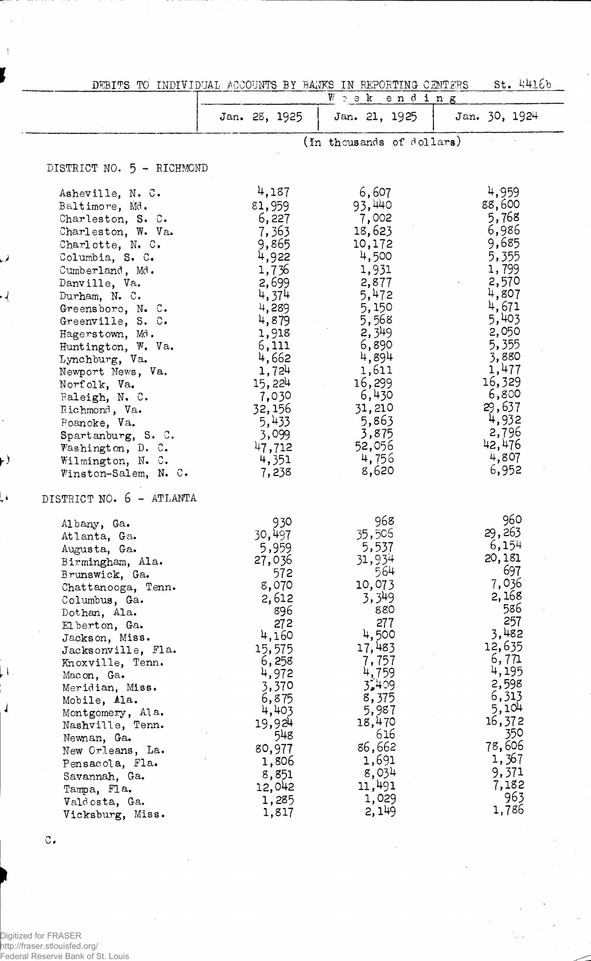| DEBITS TO INDIVIDUAL ACCOUNTS BY BANKS IN REPORTING CENTERS                                                                                                                                                                                                                                                                                                                                                                                                            |                                                                                                                                                                                                                  |                                                                                                                                                                                                                   | St. 4416b                                                                                                                                                                                                         |
|------------------------------------------------------------------------------------------------------------------------------------------------------------------------------------------------------------------------------------------------------------------------------------------------------------------------------------------------------------------------------------------------------------------------------------------------------------------------|------------------------------------------------------------------------------------------------------------------------------------------------------------------------------------------------------------------|-------------------------------------------------------------------------------------------------------------------------------------------------------------------------------------------------------------------|-------------------------------------------------------------------------------------------------------------------------------------------------------------------------------------------------------------------|
|                                                                                                                                                                                                                                                                                                                                                                                                                                                                        |                                                                                                                                                                                                                  | Weekending                                                                                                                                                                                                        |                                                                                                                                                                                                                   |
|                                                                                                                                                                                                                                                                                                                                                                                                                                                                        | Jan. 28, 1925                                                                                                                                                                                                    | Jan. 21, 1925                                                                                                                                                                                                     | Jan. 30, 1924                                                                                                                                                                                                     |
|                                                                                                                                                                                                                                                                                                                                                                                                                                                                        |                                                                                                                                                                                                                  | (In thousands of dollars)                                                                                                                                                                                         |                                                                                                                                                                                                                   |
| DISTRICT NO. 5 - RICHMOND                                                                                                                                                                                                                                                                                                                                                                                                                                              |                                                                                                                                                                                                                  |                                                                                                                                                                                                                   |                                                                                                                                                                                                                   |
| Asheville, N. C.<br>Baltimore, Md.<br>Charleston, S. C.<br>Charleston, W. Va.<br>Charlotte, N. C.<br>Columbia, S. C.<br>Cumberland, Md.<br>Danville, Va.<br>Durham, N. C.<br>Greensboro, N. C.<br>Greenville, S. C.<br>Hagerstown, Md.<br>Huntington, W. Va.<br>Lynchburg, Va.<br>Newport News, Va.<br>Norfolk, Va.<br>Raleigh, N. C.<br>Richmond, Va.<br>Roanoke, Va.<br>Spartanburg, S. C.<br>Washington, D. C.<br>Wilmington, N. C.<br>Winston-Salem, N. C.         | 4,187<br>81,959<br>6,227<br>7,363<br>9,865<br>4,922<br>1,736<br>2,699<br>4,374<br>4,289<br>4,879<br>1,918<br>6,111<br>4,662<br>1,724<br>15,224<br>7,030<br>32,156<br>5,433<br>3,099<br>47,712<br>4,351<br>7,238  | 6,607<br>93,440<br>7,002<br>18,623<br>10,172<br>4,500<br>1,931<br>2,877<br>5,472<br>5,150<br>5,568<br>2,349<br>6,890<br>4,894<br>1,611<br>16,299<br>6,430<br>31,210<br>5,863<br>3,875<br>52,056<br>4,756<br>8,620 | 4,959<br>88,600<br>5,768<br>- 6,986<br>9,685<br>5,355<br>1,799<br>2,570<br>4,807<br>4,671<br>5,403<br>2,050<br>5,355<br>3,880<br>1,477<br>16,329<br>6,800<br>29,637<br>4,932<br>2,796<br>42,476<br>4,807<br>6,952 |
| DISTRICT NO. 6 - ATLANTA<br>Albany, Ga.<br>Atlanta, Ga.<br>Augusta, Ga.<br>Birmingham, Ala.<br>Brunswick, Ga.<br>Chattanooga, Tenn.<br>Columbus, Ga.<br>Dothan, Ala.<br>El berton, Ga.<br>Jackson, Miss.<br>Jacksonville, Fla.<br>Knoxville, Tenn.<br>Macon, Ga.<br>Meridian, Miss.<br>Mobile, Ala.<br>Montgomery, Ala.<br>Nashville, Tenn.<br>Newnan, Ga.<br>New Orleans, La.<br>Pensacola, Fla.<br>Savannah, Ga.<br>Tampa, Fla.<br>Valdosta, Ga.<br>Vicksburg, Miss. | 930<br>30,497<br>5,959<br>27,036<br>572<br>8,070<br>2,612<br>896<br>272<br>4,160<br>15,575<br>6,258<br>4,972<br>3,370<br>6,875<br>4,403<br>19,924<br>548<br>80,977<br>1,806<br>8,851<br>12,042<br>1,285<br>1,817 | 968<br>35,506<br>5,537<br>31,934<br>564<br>10,073<br>3,349<br>880<br>277<br>4,500<br>17,483<br>7,757<br>4,759<br>3409<br>8,375<br>5,987<br>18,470<br>616<br>86,662<br>1,691<br>8,034<br>11,491<br>1,029<br>2, 149 | 960<br>29,263<br>6,154<br>20,181<br>697<br>7,036<br>2,168<br>586<br>257<br>3,482<br>12,635<br>6,771<br>4,195<br>2,598<br>6,313<br>5,104<br>16,372<br>350<br>78,606<br>1,367<br>9,371<br>7,182<br>963<br>1,786     |

 $\ddot{\phantom{1}}$  .

 $\circ$  .

 $\overline{\phantom{a}}$ 

 $\bar{\mathcal{A}}$ 

نمبا

 $\cdot$ 

 $\ddot{\phantom{0}}$ 

 $\mathbf{r}$ 

فمبا

 $\downarrow$ 

 $\frac{1}{2}$ 

Digitized for FRASER http://fraser.stlouisfed.org/ Federal Reserve Bank of St. Louis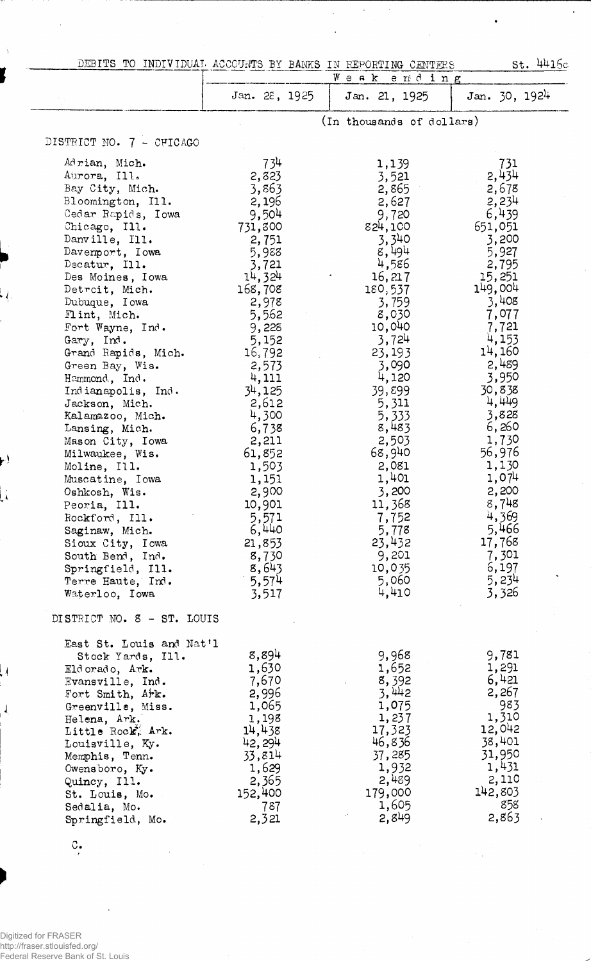| St. 4416c<br>DEBITS TO INDIVIDUAL ACCOUNTS BY BANKS IN REPORTING CENTERS<br><b>Week</b><br>ending |                 |                           |                  |
|---------------------------------------------------------------------------------------------------|-----------------|---------------------------|------------------|
|                                                                                                   | Jan. 28, 1925   |                           | Jan. $30, 1924$  |
|                                                                                                   |                 | Jan. 21, 1925             |                  |
|                                                                                                   |                 | (In thousands of dollars) |                  |
| DISTRICT NO. 7 - CHICAGO                                                                          |                 |                           |                  |
|                                                                                                   |                 |                           |                  |
| Adrian, Mich.                                                                                     | 734             | 1,139                     | 731              |
| Aurora, Ill.<br>Bay City, Mich.                                                                   | 2,823<br>3,863  | 3,521<br>2,865            | 2,434<br>2,678   |
| Bloomington, Ill.                                                                                 | 2,196           | 2,627                     | 2,234            |
| Cedar Rapids, Iowa                                                                                | 9,504           | 9,720                     | 6,439            |
| Chicago, Ill.                                                                                     | 731,300         | 824,100                   | 651,051          |
| Danville, Ill.                                                                                    | 2,751           | 3,340                     | 3,200            |
| Davemport, Iowa                                                                                   | 5,988           | 8,494                     | 5,927            |
| Decatur, Ill.                                                                                     | 3,721           | 4,586                     | 2,795            |
| Des Moines, Iowa                                                                                  | 14,324          | 16, 217                   | 15,251           |
| Detroit, Mich.                                                                                    | 168,708         | 180,537                   | 149,004          |
| Dubuque, Iowa<br>Flint, Mich.                                                                     | 2,978<br>5,562  | 3,759<br>8,030            | 3,408<br>7,077   |
| Fort Wayne, Ind.                                                                                  | 9,228           | 10,040                    | 7,721            |
| Gary, Ind.                                                                                        | 5,152           | 3,724                     | 4,153            |
| Grand Rapids, Mich.                                                                               | 16,792          | 23,193                    | 14,160           |
| Green Bay, Wis.                                                                                   | 2,573           | 3,090                     | 2,489            |
| Hammond, Ind.                                                                                     | 4,111           | 4,120                     | 3,950            |
| Indianapolis, Ind.                                                                                | 34,125          | 39,899                    | 30,838           |
| Jackson, Mich.                                                                                    | 2,612           | 5,311                     | 4,449            |
| Kalamazoo, Mich.                                                                                  | 4,300           | 5,333                     | 3,828<br>6,260   |
| Lansing, Mich.<br>Mason City, Iowa                                                                | 6,738<br>2,211  | 8,483<br>2,503            | 1,730            |
| Milwaukee, Wis.                                                                                   | 61,852          | 68,940                    | 56,976           |
| Moline, Ill.                                                                                      | 1,503           | 2,081                     | 1,130            |
| Muscatine, Iowa                                                                                   | 1,151           | 1,401                     | 1,074            |
| Oshkosh, Wis.                                                                                     | 2,900           | 3,200                     | 2,200            |
| Peoria, Ill.                                                                                      | 10,901          | 11,368                    | 8,748            |
| Rockford, Ill.                                                                                    | 5,571           | 7,752                     | 4,369            |
| Saginaw, Mich.                                                                                    | 6,440           | 5,778                     | 5,466            |
| Sioux City, Iowa                                                                                  | 21,853          | 23,432                    | 17,768           |
| South Bend, Ind.<br>Springfield, Ill.                                                             | 8,730<br>8,643  | 9,201<br>10,035           | 7,301<br>6,197   |
| Terre Haute, Ind.                                                                                 | 5,574           | 5,060                     | 5,234            |
| Waterloo, Iowa                                                                                    | 3,517           | 4,410                     | 3,326            |
| DISTRICT NO. 8 - ST. LOUIS                                                                        |                 |                           |                  |
|                                                                                                   |                 |                           |                  |
| East St. Louis and Nat'l<br>Stock Yards, Ill.                                                     | 8,894           | 9,968                     | 9,781            |
| Eldorado, Ark.                                                                                    | 1,630           | 1,652                     | 1,291            |
| Evansville, Ind.                                                                                  | 7,670           |                           | 6,421            |
| Fort Smith, Ark.                                                                                  | 2,996           | $\frac{8,392}{3,442}$     | 2,267            |
| Greenville, Miss.                                                                                 | 1,065           | 1,075                     | 983              |
| Helena, Ark.                                                                                      | 1,198           | 1,237                     | 1,310            |
| Little Rock, Ark.                                                                                 | 14,438          | 17,323                    | 12,042           |
| Louisville, Ky.                                                                                   | 42,294          | 46,836                    | 38,401<br>31,950 |
| Memphis, Tenn.<br>Owensboro, Ky.                                                                  | 33,814<br>1,629 | 37,285<br>1,932           | 1,431            |
| Quincy, Ill.                                                                                      | 2,365           | 2,489                     | 2,110            |
| St. Louis, Mo.                                                                                    | 152,400         | 179,000                   | 142,803          |
| Sedalia, Mo.                                                                                      | 787             | 1,605                     | 858              |
| Springfield, Mo.                                                                                  | 2,321           | 2,849                     | 2,863            |
|                                                                                                   |                 |                           |                  |

 $\bullet$ 

 $\overline{C}_{\bullet}$ 

 $\bar{\mathcal{A}}$ 

ز .

P)

 $\mathbf{R}$ 

Ų

 $\overline{1}$ 

Digitized for FRASER<br>http://fraser.stlouisfed.org/<br>Federal Reserve Bank of St. Louis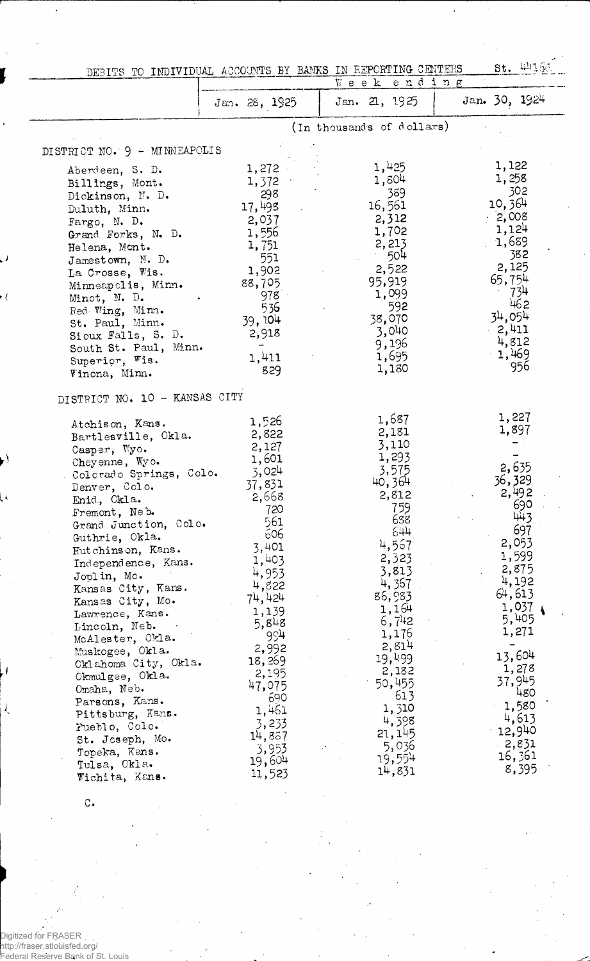|                                                                                                                                                                                                                                                                                                                                                                                                                                                                                                                                                                                                         | DEBITS TO INDIVIDUAL ACCOUNTS BY BANKS IN REPORTING CENTERS                                                                                                                                                                                                     |                                                                                                                                                                                                                                                                    | $st.$ 44160.                                                                                                                                                                                                                         |
|---------------------------------------------------------------------------------------------------------------------------------------------------------------------------------------------------------------------------------------------------------------------------------------------------------------------------------------------------------------------------------------------------------------------------------------------------------------------------------------------------------------------------------------------------------------------------------------------------------|-----------------------------------------------------------------------------------------------------------------------------------------------------------------------------------------------------------------------------------------------------------------|--------------------------------------------------------------------------------------------------------------------------------------------------------------------------------------------------------------------------------------------------------------------|--------------------------------------------------------------------------------------------------------------------------------------------------------------------------------------------------------------------------------------|
|                                                                                                                                                                                                                                                                                                                                                                                                                                                                                                                                                                                                         |                                                                                                                                                                                                                                                                 | Week ending                                                                                                                                                                                                                                                        |                                                                                                                                                                                                                                      |
|                                                                                                                                                                                                                                                                                                                                                                                                                                                                                                                                                                                                         | Jan. 28, 1925                                                                                                                                                                                                                                                   | Jan. 21, 1925                                                                                                                                                                                                                                                      | Jan. 30, 1924                                                                                                                                                                                                                        |
|                                                                                                                                                                                                                                                                                                                                                                                                                                                                                                                                                                                                         |                                                                                                                                                                                                                                                                 | (In thousands of dollars)                                                                                                                                                                                                                                          |                                                                                                                                                                                                                                      |
| DISTRICT NO. 9 - MINNEAPOLIS                                                                                                                                                                                                                                                                                                                                                                                                                                                                                                                                                                            |                                                                                                                                                                                                                                                                 |                                                                                                                                                                                                                                                                    |                                                                                                                                                                                                                                      |
| Aberdeen, S. D.<br>Billings, Mont.<br>Dickinson, N. D.<br>Duluth, Minn.<br>Fargo, N. D.<br>Grand Forks, N. D.<br>Helena, Mont.<br>Jamestown, N. D.<br>La Crosse, Wis.<br>Minneapolis, Minn.<br>Minot, N. D.<br>Red Wing, Minn.<br>St. Paul, Minn.<br>Sioux Falls, S. D.<br>South St. Paul, Minn.<br>Superior, Wis.<br>Vinona, Minn.                                                                                                                                                                                                                                                                     | 1,272<br>1,372<br>298<br>17,498<br>2,037<br>1,556<br>1,751<br>551<br>1,902<br>88,705<br>978<br>536<br>39, 104<br>2,918<br>-<br>1,411<br>829                                                                                                                     | 1,425<br>1,804<br>389<br>16,561<br>2,312<br>1,702<br>2,213<br>504<br>2,522<br>95,919<br>1,099<br>592<br>$-38,070$<br>3,040<br>9,196<br>1,695<br>1,180                                                                                                              | 1,122<br>1,258<br>302<br>10,364<br>$-2,008$<br>1,124<br>1,689<br>382<br>2,125<br>65,754<br>734<br>462<br>34,054<br>$-2,411$<br>4,812<br>$-1,469$<br>956                                                                              |
| DISTRICT NO. 10 - KANSAS CITY<br>Atchison, Kans.<br>Bartlesville, Okla.<br>Casper, Wyo.<br>Cheyenne, Wyo.<br>Colorado Springs, Colo.<br>Denver, Colo.<br>Enid, Okla.<br>Fremont, Neb.<br>Grand Junction, Colo.<br>Guthrie, Okla.<br>Hutchinson, Kans.<br>Independence, Kans.<br>Joolin, Mo.<br>Kansas City, Kans.<br>Kansas City, Mo.<br>Lawrence, Kans.<br>Lincoln, Neb.<br>McAlester, Okla.<br>Muskogee, Okla.<br>Oklahoma City, Okla.<br>Okmulgee, Okla.<br>Omaha, Neb.<br>Parsons, Kans.<br>Pittsburg, Kans.<br>Pueblo, Colo.<br>St. Joseph, Mo.<br>Topeka, Kans.<br>Tulsa, Okla.<br>Wichita, Kans. | 1,526<br>2,822<br>2,127<br>1,601<br>3,024<br>37,831<br>2,668<br>720<br>561<br>606<br>3,401<br>1,403<br>4,953<br>4,822<br>74, 424<br>1,139<br>5,848<br>994<br>2,992<br>18,269<br>2,195<br>47,075<br>690<br>1,461<br>3,233<br>14,837<br>3,953<br>19,604<br>11,523 | 1,687<br>2,181<br>3,110<br>1,293<br>3,575<br>40,364<br>2,812<br>759.<br>638<br>644<br>4,567<br>2,323<br>3,813<br>4,367<br>86,983<br>1,164<br>6,742<br>1,176<br>2,814<br>19,499<br>2,182<br>50,455<br>613<br>1,310<br>4,398<br>21, 145<br>5,036<br>19,554<br>14,831 | 1,227<br>1,897<br>2,635<br>36,329<br>2,492<br>690<br>443<br>697<br>2,053<br>1,599<br>2,875<br>4,192<br>64,613<br>1,037<br>5,405<br>1,271<br>13,604<br>1,278<br>37,945<br>480<br>1,580<br>4,613<br>12,940<br>2,831<br>16,361<br>8,395 |

c.

 $\cdot$  (

 $\frac{1}{2}$ 

Digitized for FRASER http://fraser.stlouisfed.org/ Federal Reserve Bank of St. Louis